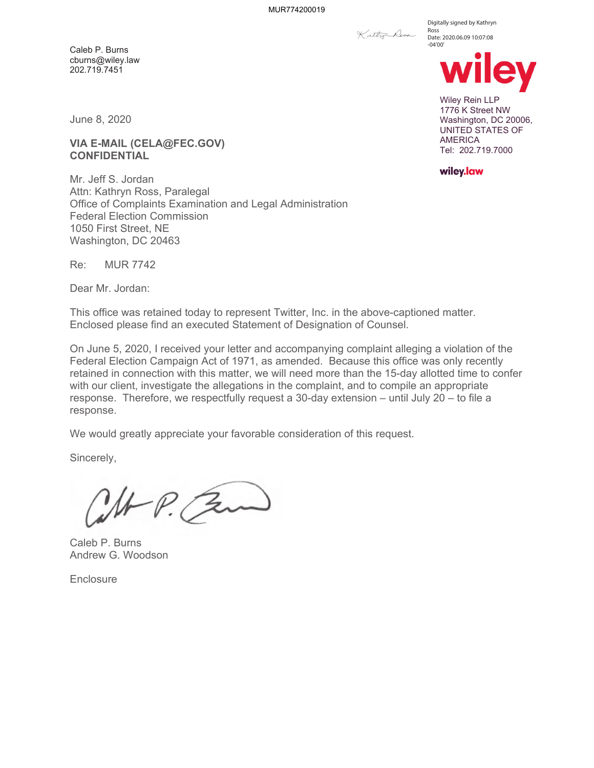Katter Ross

Digitally signed by Kathryn Ross Date: 2020.06.09 10:07:08 -04'00'



Wiley Rein LLP 1776 K Street NW Washington, DC 20006, UNITED STATES OF AMERICA Tel: 202.719.7000

wiley.law

June 8, 2020

Caleb P. Burns cburns@wiley.law 202.719.7451

**VIA E-MAIL (CELA@FEC.GOV) CONFIDENTIAL** 

Mr. Jeff S. Jordan Attn: Kathryn Ross, Paralegal Office of Complaints Examination and Legal Administration Federal Election Commission 1050 First Street, NE Washington, DC 20463

Re: MUR 7742

Dear Mr. Jordan:

This office was retained today to represent Twitter, Inc. in the above-captioned matter. Enclosed please find an executed Statement of Designation of Counsel.

On June 5, 2020, I received your letter and accompanying complaint alleging a violation of the Federal Election Campaign Act of 1971, as amended. Because this office was only recently retained in connection with this matter, we will need more than the 15-day allotted time to confer with our client, investigate the allegations in the complaint, and to compile an appropriate response. Therefore, we respectfully request a 30-day extension – until July 20 – to file a response.

We would greatly appreciate your favorable consideration of this request.

Sincerely,

P. Bu

Caleb P. Burns Andrew G. Woodson

**Enclosure**